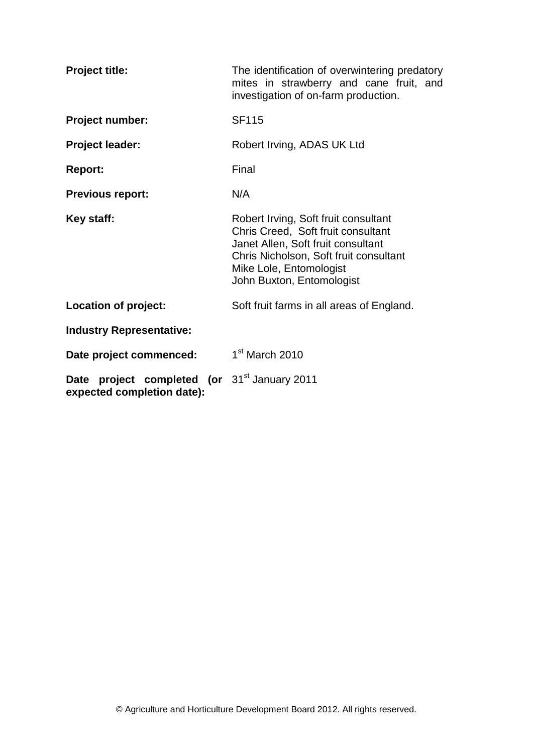| <b>Project title:</b>                                                                        | The identification of overwintering predatory<br>mites in strawberry and cane fruit, and<br>investigation of on-farm production.                                                                                   |
|----------------------------------------------------------------------------------------------|--------------------------------------------------------------------------------------------------------------------------------------------------------------------------------------------------------------------|
| Project number:                                                                              | <b>SF115</b>                                                                                                                                                                                                       |
| <b>Project leader:</b>                                                                       | Robert Irving, ADAS UK Ltd                                                                                                                                                                                         |
| <b>Report:</b>                                                                               | Final                                                                                                                                                                                                              |
| <b>Previous report:</b>                                                                      | N/A                                                                                                                                                                                                                |
| Key staff:                                                                                   | Robert Irving, Soft fruit consultant<br>Chris Creed, Soft fruit consultant<br>Janet Allen, Soft fruit consultant<br>Chris Nicholson, Soft fruit consultant<br>Mike Lole, Entomologist<br>John Buxton, Entomologist |
| Location of project:                                                                         | Soft fruit farms in all areas of England.                                                                                                                                                                          |
| <b>Industry Representative:</b>                                                              |                                                                                                                                                                                                                    |
| Date project commenced:                                                                      | 1 <sup>st</sup> March 2010                                                                                                                                                                                         |
| <b>Date project completed (or 31<sup>st</sup> January 2011</b><br>expected completion date): |                                                                                                                                                                                                                    |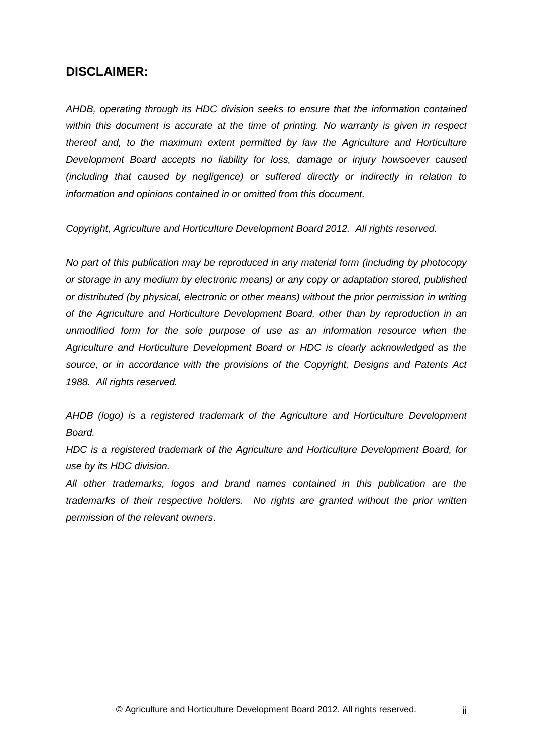## **DISCLAIMER:**

*AHDB, operating through its HDC division seeks to ensure that the information contained within this document is accurate at the time of printing. No warranty is given in respect thereof and, to the maximum extent permitted by law the Agriculture and Horticulture Development Board accepts no liability for loss, damage or injury howsoever caused (including that caused by negligence) or suffered directly or indirectly in relation to information and opinions contained in or omitted from this document.* 

*Copyright, Agriculture and Horticulture Development Board 2012. All rights reserved.*

*No part of this publication may be reproduced in any material form (including by photocopy or storage in any medium by electronic means) or any copy or adaptation stored, published or distributed (by physical, electronic or other means) without the prior permission in writing of the Agriculture and Horticulture Development Board, other than by reproduction in an unmodified form for the sole purpose of use as an information resource when the Agriculture and Horticulture Development Board or HDC is clearly acknowledged as the source, or in accordance with the provisions of the Copyright, Designs and Patents Act 1988. All rights reserved.* 

*AHDB (logo) is a registered trademark of the Agriculture and Horticulture Development Board.*

*HDC is a registered trademark of the Agriculture and Horticulture Development Board, for use by its HDC division.*

*All other trademarks, logos and brand names contained in this publication are the trademarks of their respective holders. No rights are granted without the prior written permission of the relevant owners.*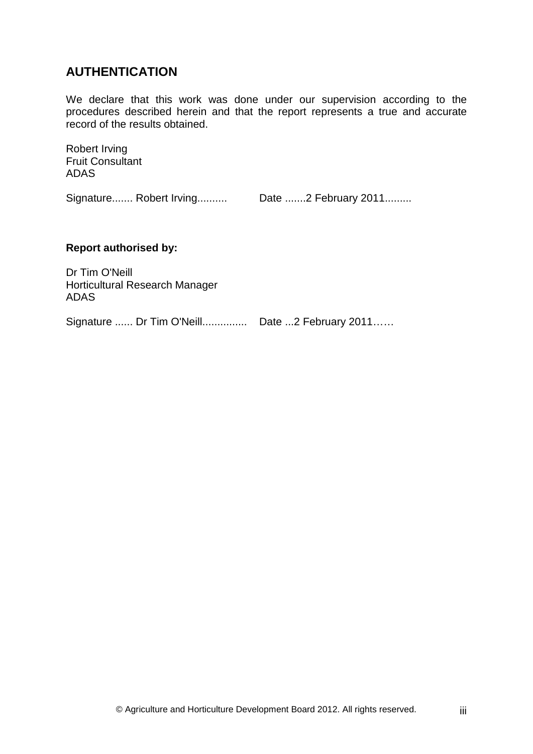# **AUTHENTICATION**

We declare that this work was done under our supervision according to the procedures described herein and that the report represents a true and accurate record of the results obtained.

Robert Irving Fruit Consultant ADAS

Signature....... Robert Irving.......... Date .......2 February 2011.........

#### **Report authorised by:**

Dr Tim O'Neill Horticultural Research Manager ADAS

Signature ...... Dr Tim O'Neill............... Date ...2 February 2011……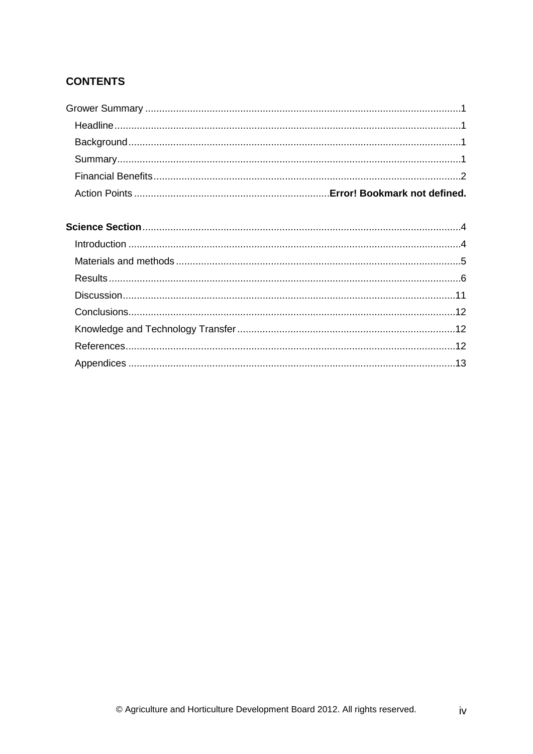# **CONTENTS**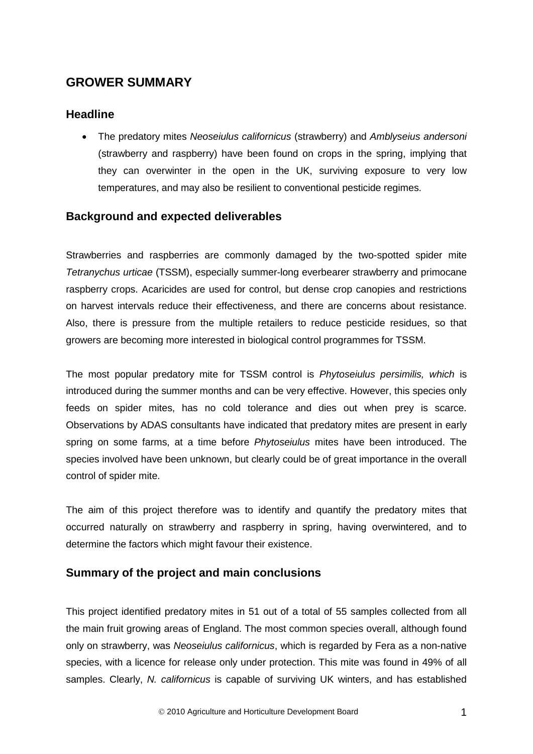# **GROWER SUMMARY**

## **Headline**

• The predatory mites *Neoseiulus californicus* (strawberry) and *Amblyseius andersoni* (strawberry and raspberry) have been found on crops in the spring, implying that they can overwinter in the open in the UK, surviving exposure to very low temperatures, and may also be resilient to conventional pesticide regimes.

# **Background and expected deliverables**

Strawberries and raspberries are commonly damaged by the two-spotted spider mite *Tetranychus urticae* (TSSM), especially summer-long everbearer strawberry and primocane raspberry crops. Acaricides are used for control, but dense crop canopies and restrictions on harvest intervals reduce their effectiveness, and there are concerns about resistance. Also, there is pressure from the multiple retailers to reduce pesticide residues, so that growers are becoming more interested in biological control programmes for TSSM.

The most popular predatory mite for TSSM control is *Phytoseiulus persimilis, which* is introduced during the summer months and can be very effective. However, this species only feeds on spider mites, has no cold tolerance and dies out when prey is scarce. Observations by ADAS consultants have indicated that predatory mites are present in early spring on some farms, at a time before *Phytoseiulus* mites have been introduced. The species involved have been unknown, but clearly could be of great importance in the overall control of spider mite.

The aim of this project therefore was to identify and quantify the predatory mites that occurred naturally on strawberry and raspberry in spring, having overwintered, and to determine the factors which might favour their existence.

## **Summary of the project and main conclusions**

This project identified predatory mites in 51 out of a total of 55 samples collected from all the main fruit growing areas of England. The most common species overall, although found only on strawberry, was *Neoseiulus californicus*, which is regarded by Fera as a non-native species, with a licence for release only under protection. This mite was found in 49% of all samples. Clearly, *N. californicus* is capable of surviving UK winters, and has established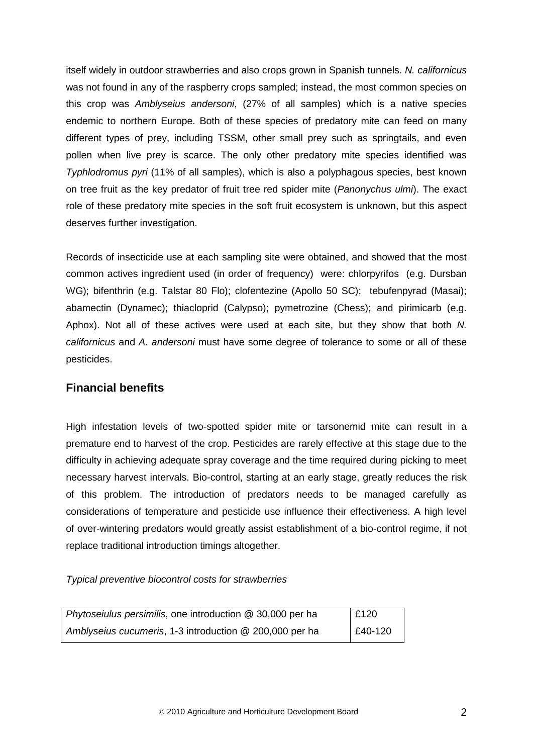itself widely in outdoor strawberries and also crops grown in Spanish tunnels. *N. californicus* was not found in any of the raspberry crops sampled; instead, the most common species on this crop was *Amblyseius andersoni*, (27% of all samples) which is a native species endemic to northern Europe. Both of these species of predatory mite can feed on many different types of prey, including TSSM, other small prey such as springtails, and even pollen when live prey is scarce. The only other predatory mite species identified was *Typhlodromus pyri* (11% of all samples), which is also a polyphagous species, best known on tree fruit as the key predator of fruit tree red spider mite (*Panonychus ulmi*). The exact role of these predatory mite species in the soft fruit ecosystem is unknown, but this aspect deserves further investigation.

Records of insecticide use at each sampling site were obtained, and showed that the most common actives ingredient used (in order of frequency) were: chlorpyrifos (e.g. Dursban WG); bifenthrin (e.g. Talstar 80 Flo); clofentezine (Apollo 50 SC); tebufenpyrad (Masai); abamectin (Dynamec); thiacloprid (Calypso); pymetrozine (Chess); and pirimicarb (e.g. Aphox). Not all of these actives were used at each site, but they show that both *N. californicus* and *A. andersoni* must have some degree of tolerance to some or all of these pesticides.

### **Financial benefits**

High infestation levels of two-spotted spider mite or tarsonemid mite can result in a premature end to harvest of the crop. Pesticides are rarely effective at this stage due to the difficulty in achieving adequate spray coverage and the time required during picking to meet necessary harvest intervals. Bio-control, starting at an early stage, greatly reduces the risk of this problem. The introduction of predators needs to be managed carefully as considerations of temperature and pesticide use influence their effectiveness. A high level of over-wintering predators would greatly assist establishment of a bio-control regime, if not replace traditional introduction timings altogether.

*Typical preventive biocontrol costs for strawberries*

| Phytoseiulus persimilis, one introduction @ 30,000 per ha | £120              |
|-----------------------------------------------------------|-------------------|
| Amblyseius cucumeris, 1-3 introduction @ 200,000 per ha   | $\big  540 - 120$ |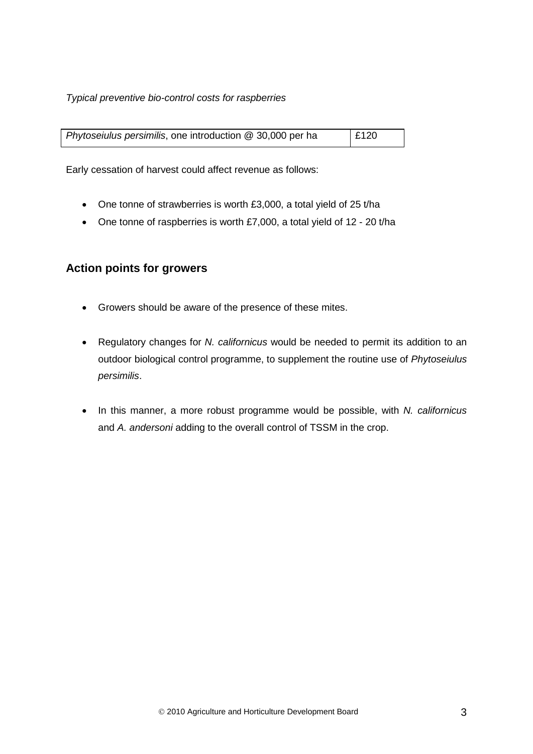#### *Typical preventive bio-control costs for raspberries*

| Phytoseiulus persimilis, one introduction @ 30,000 per ha | E120 |
|-----------------------------------------------------------|------|
|                                                           |      |

Early cessation of harvest could affect revenue as follows:

- One tonne of strawberries is worth £3,000, a total yield of 25 t/ha
- One tonne of raspberries is worth £7,000, a total yield of 12 20 t/ha

## **Action points for growers**

- Growers should be aware of the presence of these mites.
- Regulatory changes for *N. californicus* would be needed to permit its addition to an outdoor biological control programme, to supplement the routine use of *Phytoseiulus persimilis*.
- In this manner, a more robust programme would be possible, with *N. californicus* and *A. andersoni* adding to the overall control of TSSM in the crop.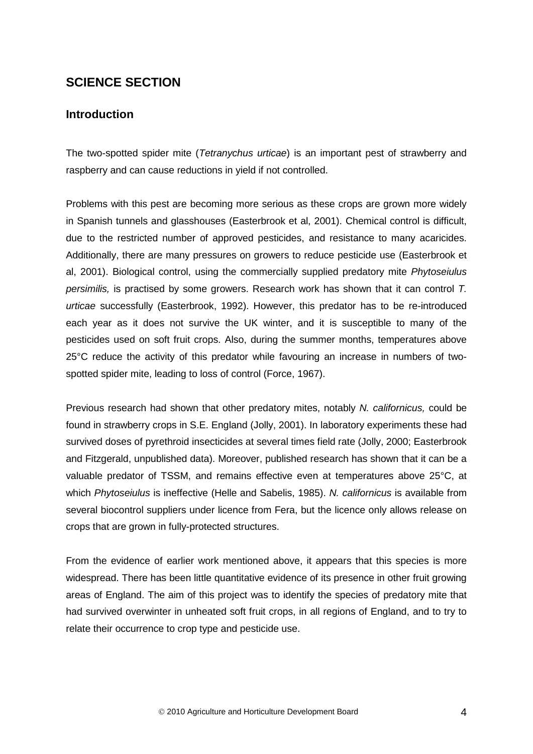# **SCIENCE SECTION**

## **Introduction**

The two-spotted spider mite (*Tetranychus urticae*) is an important pest of strawberry and raspberry and can cause reductions in yield if not controlled.

Problems with this pest are becoming more serious as these crops are grown more widely in Spanish tunnels and glasshouses (Easterbrook et al, 2001). Chemical control is difficult, due to the restricted number of approved pesticides, and resistance to many acaricides. Additionally, there are many pressures on growers to reduce pesticide use (Easterbrook et al, 2001). Biological control, using the commercially supplied predatory mite *Phytoseiulus persimilis,* is practised by some growers. Research work has shown that it can control *T. urticae* successfully (Easterbrook, 1992). However, this predator has to be re-introduced each year as it does not survive the UK winter, and it is susceptible to many of the pesticides used on soft fruit crops. Also, during the summer months, temperatures above 25°C reduce the activity of this predator while favouring an increase in numbers of twospotted spider mite, leading to loss of control (Force, 1967).

Previous research had shown that other predatory mites, notably *N. californicus,* could be found in strawberry crops in S.E. England (Jolly, 2001). In laboratory experiments these had survived doses of pyrethroid insecticides at several times field rate (Jolly, 2000; Easterbrook and Fitzgerald, unpublished data). Moreover, published research has shown that it can be a valuable predator of TSSM, and remains effective even at temperatures above 25°C, at which *Phytoseiulus* is ineffective (Helle and Sabelis, 1985). *N. californicus* is available from several biocontrol suppliers under licence from Fera, but the licence only allows release on crops that are grown in fully-protected structures.

From the evidence of earlier work mentioned above, it appears that this species is more widespread. There has been little quantitative evidence of its presence in other fruit growing areas of England. The aim of this project was to identify the species of predatory mite that had survived overwinter in unheated soft fruit crops, in all regions of England, and to try to relate their occurrence to crop type and pesticide use.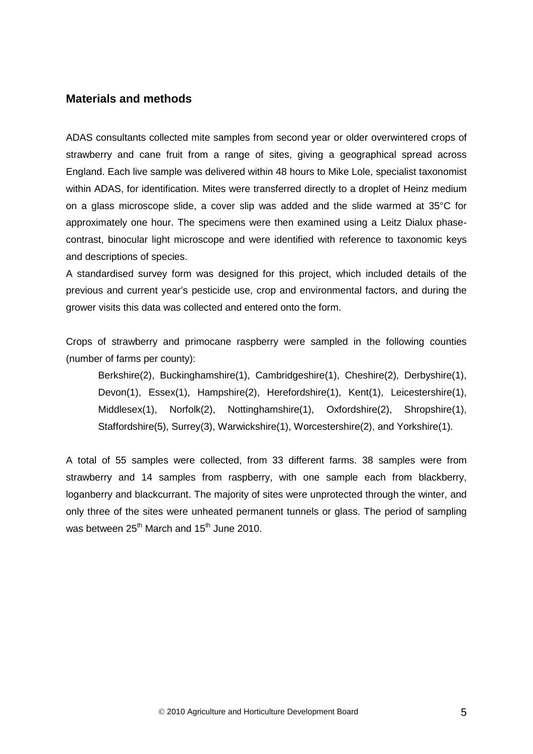### **Materials and methods**

ADAS consultants collected mite samples from second year or older overwintered crops of strawberry and cane fruit from a range of sites, giving a geographical spread across England. Each live sample was delivered within 48 hours to Mike Lole, specialist taxonomist within ADAS, for identification. Mites were transferred directly to a droplet of Heinz medium on a glass microscope slide, a cover slip was added and the slide warmed at 35°C for approximately one hour. The specimens were then examined using a Leitz Dialux phasecontrast, binocular light microscope and were identified with reference to taxonomic keys and descriptions of species.

A standardised survey form was designed for this project, which included details of the previous and current year's pesticide use, crop and environmental factors, and during the grower visits this data was collected and entered onto the form.

Crops of strawberry and primocane raspberry were sampled in the following counties (number of farms per county):

Berkshire(2), Buckinghamshire(1), Cambridgeshire(1), Cheshire(2), Derbyshire(1), Devon(1), Essex(1), Hampshire(2), Herefordshire(1), Kent(1), Leicestershire(1), Middlesex(1), Norfolk(2), Nottinghamshire(1), Oxfordshire(2), Shropshire(1), Staffordshire(5), Surrey(3), Warwickshire(1), Worcestershire(2), and Yorkshire(1).

A total of 55 samples were collected, from 33 different farms. 38 samples were from strawberry and 14 samples from raspberry, with one sample each from blackberry, loganberry and blackcurrant. The majority of sites were unprotected through the winter, and only three of the sites were unheated permanent tunnels or glass. The period of sampling was between  $25<sup>th</sup>$  March and  $15<sup>th</sup>$  June 2010.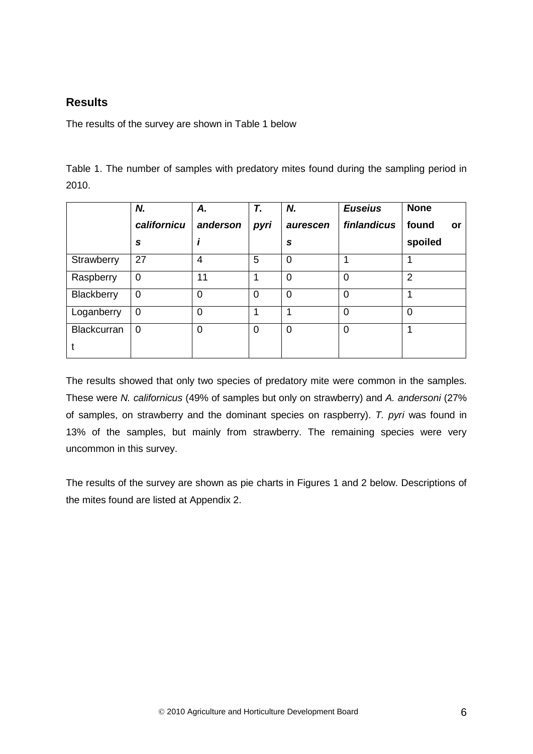# **Results**

The results of the survey are shown in Table 1 below

Table 1. The number of samples with predatory mites found during the sampling period in 2010.

|                    | Ν.             | Α.       | T.   | N.             | <b>Euseius</b> | <b>None</b>    |
|--------------------|----------------|----------|------|----------------|----------------|----------------|
|                    | californicu    | anderson | pyri | aurescen       | finlandicus    | found<br>or    |
|                    | S              |          |      | S              |                | spoiled        |
| Strawberry         | 27             | 4        | 5    | $\overline{0}$ |                |                |
| Raspberry          | $\overline{0}$ | 11       |      | $\overline{0}$ | $\overline{0}$ | $\overline{2}$ |
| Blackberry         | 0              | 0        | 0    | $\overline{0}$ | $\mathbf 0$    |                |
| Loganberry         | 0              | 0        |      | 4              | 0              | 0              |
| <b>Blackcurran</b> | $\overline{0}$ | 0        | 0    | 0              | $\mathbf 0$    |                |

The results showed that only two species of predatory mite were common in the samples. These were *N. californicus* (49% of samples but only on strawberry) and *A. andersoni* (27% of samples, on strawberry and the dominant species on raspberry). *T. pyri* was found in 13% of the samples, but mainly from strawberry. The remaining species were very uncommon in this survey.

The results of the survey are shown as pie charts in Figures 1 and 2 below. Descriptions of the mites found are listed at Appendix 2.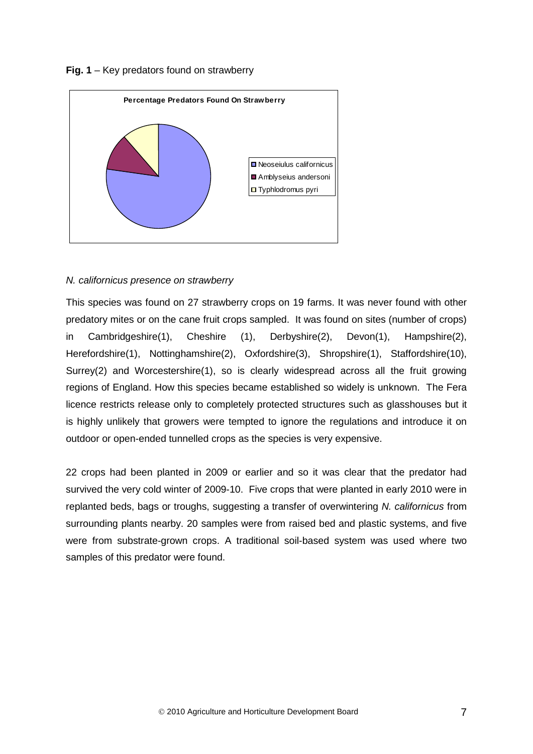#### **Fig. 1** – Key predators found on strawberry



#### *N. californicus presence on strawberry*

This species was found on 27 strawberry crops on 19 farms. It was never found with other predatory mites or on the cane fruit crops sampled. It was found on sites (number of crops) in Cambridgeshire(1), Cheshire (1), Derbyshire(2), Devon(1), Hampshire(2), Herefordshire(1), Nottinghamshire(2), Oxfordshire(3), Shropshire(1), Staffordshire(10), Surrey(2) and Worcestershire(1), so is clearly widespread across all the fruit growing regions of England. How this species became established so widely is unknown. The Fera licence restricts release only to completely protected structures such as glasshouses but it is highly unlikely that growers were tempted to ignore the regulations and introduce it on outdoor or open-ended tunnelled crops as the species is very expensive.

22 crops had been planted in 2009 or earlier and so it was clear that the predator had survived the very cold winter of 2009-10. Five crops that were planted in early 2010 were in replanted beds, bags or troughs, suggesting a transfer of overwintering *N. californicus* from surrounding plants nearby. 20 samples were from raised bed and plastic systems, and five were from substrate-grown crops. A traditional soil-based system was used where two samples of this predator were found.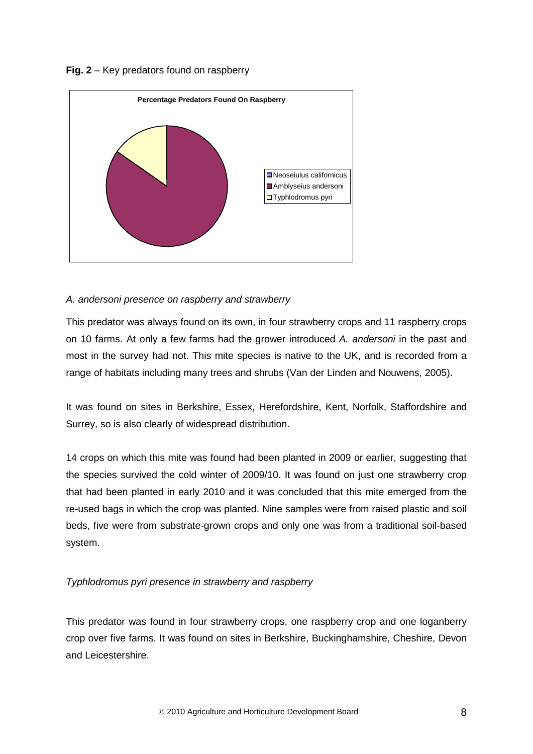



### *A. andersoni presence on raspberry and strawberry*

This predator was always found on its own, in four strawberry crops and 11 raspberry crops on 10 farms. At only a few farms had the grower introduced *A. andersoni* in the past and most in the survey had not. This mite species is native to the UK, and is recorded from a range of habitats including many trees and shrubs (Van der Linden and Nouwens, 2005).

It was found on sites in Berkshire, Essex, Herefordshire, Kent, Norfolk, Staffordshire and Surrey, so is also clearly of widespread distribution.

14 crops on which this mite was found had been planted in 2009 or earlier, suggesting that the species survived the cold winter of 2009/10. It was found on just one strawberry crop that had been planted in early 2010 and it was concluded that this mite emerged from the re-used bags in which the crop was planted. Nine samples were from raised plastic and soil beds, five were from substrate-grown crops and only one was from a traditional soil-based system.

### *Typhlodromus pyri presence in strawberry and raspberry*

This predator was found in four strawberry crops, one raspberry crop and one loganberry crop over five farms. It was found on sites in Berkshire, Buckinghamshire, Cheshire, Devon and Leicestershire.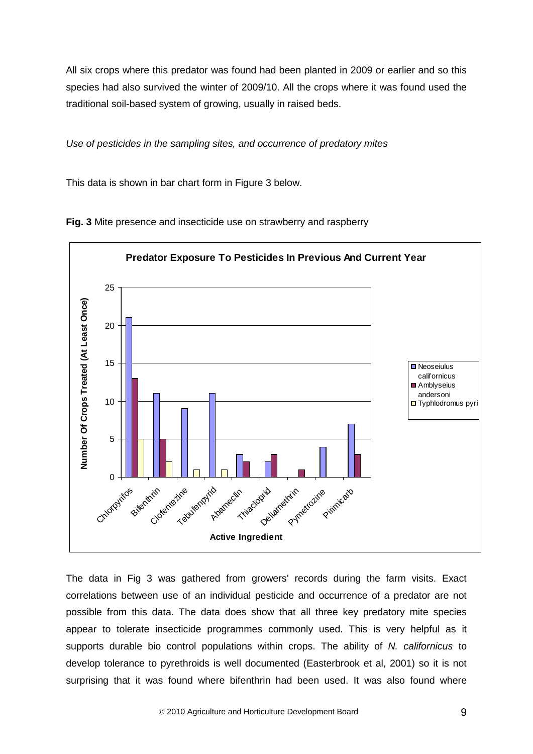All six crops where this predator was found had been planted in 2009 or earlier and so this species had also survived the winter of 2009/10. All the crops where it was found used the traditional soil-based system of growing, usually in raised beds.

*Use of pesticides in the sampling sites, and occurrence of predatory mites*

This data is shown in bar chart form in Figure 3 below.



**Fig. 3** Mite presence and insecticide use on strawberry and raspberry

The data in Fig 3 was gathered from growers' records during the farm visits. Exact correlations between use of an individual pesticide and occurrence of a predator are not possible from this data. The data does show that all three key predatory mite species appear to tolerate insecticide programmes commonly used. This is very helpful as it supports durable bio control populations within crops. The ability of *N. californicus* to develop tolerance to pyrethroids is well documented (Easterbrook et al, 2001) so it is not surprising that it was found where bifenthrin had been used. It was also found where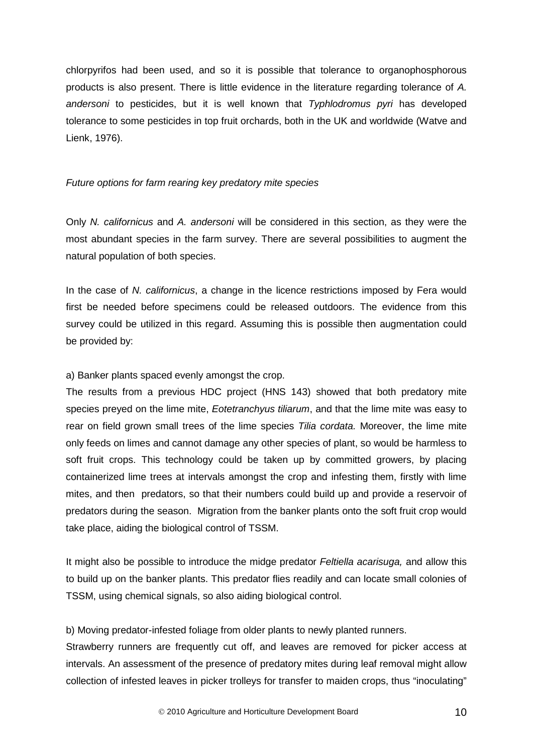chlorpyrifos had been used, and so it is possible that tolerance to organophosphorous products is also present. There is little evidence in the literature regarding tolerance of *A. andersoni* to pesticides, but it is well known that *Typhlodromus pyri* has developed tolerance to some pesticides in top fruit orchards, both in the UK and worldwide (Watve and Lienk, 1976).

#### *Future options for farm rearing key predatory mite species*

Only *N. californicus* and *A. andersoni* will be considered in this section, as they were the most abundant species in the farm survey. There are several possibilities to augment the natural population of both species.

In the case of *N. californicus*, a change in the licence restrictions imposed by Fera would first be needed before specimens could be released outdoors. The evidence from this survey could be utilized in this regard. Assuming this is possible then augmentation could be provided by:

#### a) Banker plants spaced evenly amongst the crop.

The results from a previous HDC project (HNS 143) showed that both predatory mite species preyed on the lime mite, *Eotetranchyus tiliarum*, and that the lime mite was easy to rear on field grown small trees of the lime species *Tilia cordata.* Moreover, the lime mite only feeds on limes and cannot damage any other species of plant, so would be harmless to soft fruit crops. This technology could be taken up by committed growers, by placing containerized lime trees at intervals amongst the crop and infesting them, firstly with lime mites, and then predators, so that their numbers could build up and provide a reservoir of predators during the season. Migration from the banker plants onto the soft fruit crop would take place, aiding the biological control of TSSM.

It might also be possible to introduce the midge predator *Feltiella acarisuga,* and allow this to build up on the banker plants. This predator flies readily and can locate small colonies of TSSM, using chemical signals, so also aiding biological control.

b) Moving predator-infested foliage from older plants to newly planted runners.

Strawberry runners are frequently cut off, and leaves are removed for picker access at intervals. An assessment of the presence of predatory mites during leaf removal might allow collection of infested leaves in picker trolleys for transfer to maiden crops, thus "inoculating"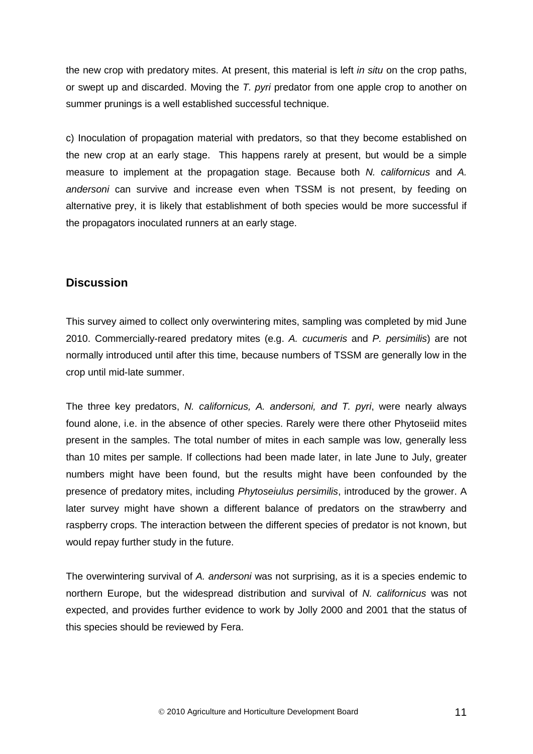the new crop with predatory mites. At present, this material is left *in situ* on the crop paths, or swept up and discarded. Moving the *T. pyri* predator from one apple crop to another on summer prunings is a well established successful technique.

c) Inoculation of propagation material with predators, so that they become established on the new crop at an early stage. This happens rarely at present, but would be a simple measure to implement at the propagation stage. Because both *N. californicus* and *A. andersoni* can survive and increase even when TSSM is not present, by feeding on alternative prey, it is likely that establishment of both species would be more successful if the propagators inoculated runners at an early stage.

#### **Discussion**

This survey aimed to collect only overwintering mites, sampling was completed by mid June 2010. Commercially-reared predatory mites (e.g. *A. cucumeris* and *P. persimilis*) are not normally introduced until after this time, because numbers of TSSM are generally low in the crop until mid-late summer.

The three key predators, *N. californicus, A. andersoni, and T. pyri*, were nearly always found alone, i.e. in the absence of other species. Rarely were there other Phytoseiid mites present in the samples. The total number of mites in each sample was low, generally less than 10 mites per sample. If collections had been made later, in late June to July, greater numbers might have been found, but the results might have been confounded by the presence of predatory mites, including *Phytoseiulus persimilis*, introduced by the grower. A later survey might have shown a different balance of predators on the strawberry and raspberry crops. The interaction between the different species of predator is not known, but would repay further study in the future.

The overwintering survival of *A. andersoni* was not surprising, as it is a species endemic to northern Europe, but the widespread distribution and survival of *N. californicus* was not expected, and provides further evidence to work by Jolly 2000 and 2001 that the status of this species should be reviewed by Fera.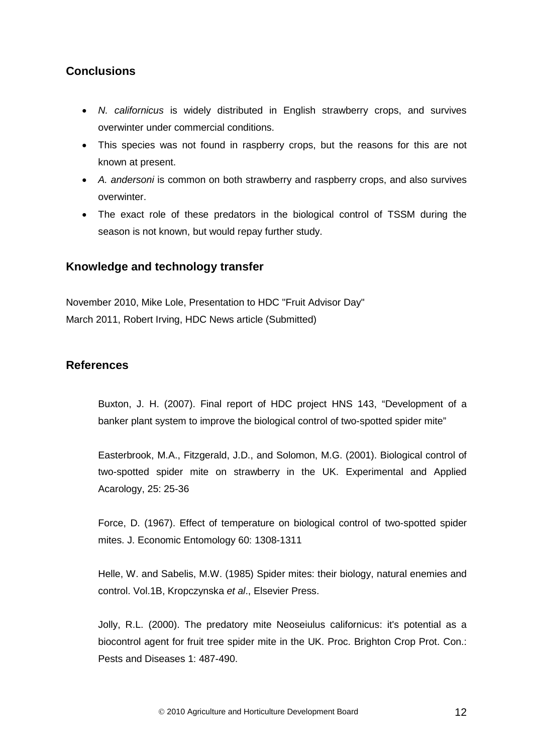# **Conclusions**

- *N. californicus* is widely distributed in English strawberry crops, and survives overwinter under commercial conditions.
- This species was not found in raspberry crops, but the reasons for this are not known at present.
- *A. andersoni* is common on both strawberry and raspberry crops, and also survives overwinter.
- The exact role of these predators in the biological control of TSSM during the season is not known, but would repay further study.

## **Knowledge and technology transfer**

November 2010, Mike Lole, Presentation to HDC "Fruit Advisor Day" March 2011, Robert Irving, HDC News article (Submitted)

## **References**

Buxton, J. H. (2007). Final report of HDC project HNS 143, "Development of a banker plant system to improve the biological control of two-spotted spider mite"

Easterbrook, M.A., Fitzgerald, J.D., and Solomon, M.G. (2001). Biological control of two-spotted spider mite on strawberry in the UK. Experimental and Applied Acarology, 25: 25-36

Force, D. (1967). Effect of temperature on biological control of two-spotted spider mites. J. Economic Entomology 60: 1308-1311

Helle, W. and Sabelis, M.W. (1985) Spider mites: their biology, natural enemies and control. Vol.1B, Kropczynska *et al*., Elsevier Press.

Jolly, R.L. (2000). The predatory mite Neoseiulus californicus: it's potential as a biocontrol agent for fruit tree spider mite in the UK. Proc. Brighton Crop Prot. Con.: Pests and Diseases 1: 487-490.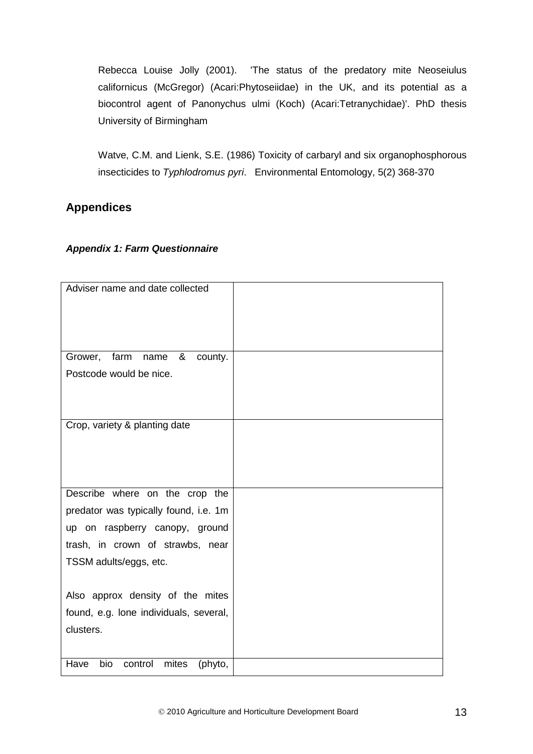Rebecca Louise Jolly (2001). 'The status of the predatory mite Neoseiulus californicus (McGregor) (Acari:Phytoseiidae) in the UK, and its potential as a biocontrol agent of Panonychus ulmi (Koch) (Acari:Tetranychidae)'. PhD thesis University of Birmingham

Watve, C.M. and Lienk, S.E. (1986) Toxicity of carbaryl and six organophosphorous insecticides to *Typhlodromus pyri*. Environmental Entomology, 5(2) 368-370

# **Appendices**

### *Appendix 1: Farm Questionnaire*

| Adviser name and date collected            |  |
|--------------------------------------------|--|
|                                            |  |
| Grower, farm<br>&<br>name<br>county.       |  |
| Postcode would be nice.                    |  |
|                                            |  |
| Crop, variety & planting date              |  |
|                                            |  |
|                                            |  |
|                                            |  |
| Describe where on the crop the             |  |
| predator was typically found, i.e. 1m      |  |
| up on raspberry canopy, ground             |  |
| trash, in crown of strawbs, near           |  |
|                                            |  |
| TSSM adults/eggs, etc.                     |  |
|                                            |  |
| Also approx density of the mites           |  |
| found, e.g. lone individuals, several,     |  |
| clusters.                                  |  |
|                                            |  |
| bio<br>Have<br>control<br>mites<br>(phyto, |  |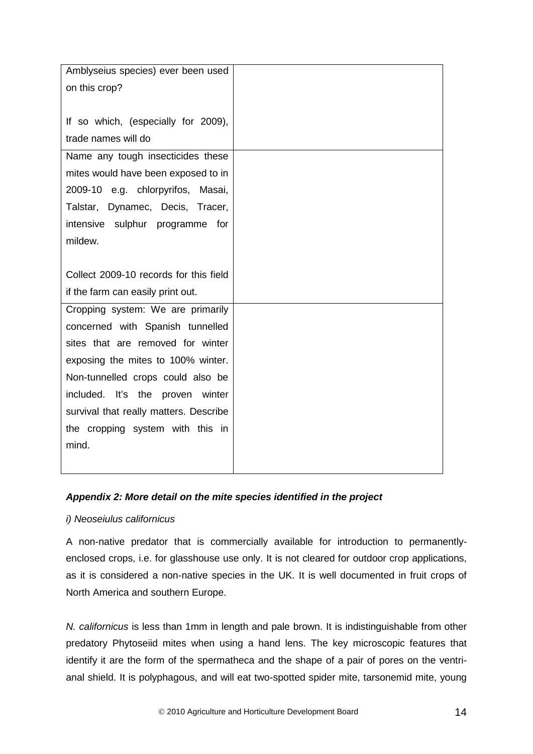| Amblyseius species) ever been used     |  |
|----------------------------------------|--|
| on this crop?                          |  |
|                                        |  |
|                                        |  |
| If so which, (especially for 2009),    |  |
| trade names will do                    |  |
| Name any tough insecticides these      |  |
| mites would have been exposed to in    |  |
| 2009-10 e.g. chlorpyrifos, Masai,      |  |
| Talstar, Dynamec, Decis, Tracer,       |  |
| intensive sulphur programme for        |  |
| mildew.                                |  |
|                                        |  |
| Collect 2009-10 records for this field |  |
| if the farm can easily print out.      |  |
| Cropping system: We are primarily      |  |
| concerned with Spanish tunnelled       |  |
| sites that are removed for winter      |  |
| exposing the mites to 100% winter.     |  |
| Non-tunnelled crops could also be      |  |
| included. It's the proven winter       |  |
| survival that really matters. Describe |  |
| the cropping system with this in       |  |
| mind.                                  |  |
|                                        |  |
|                                        |  |

### *Appendix 2: More detail on the mite species identified in the project*

### *i) Neoseiulus californicus*

A non-native predator that is commercially available for introduction to permanentlyenclosed crops, i.e. for glasshouse use only. It is not cleared for outdoor crop applications, as it is considered a non-native species in the UK. It is well documented in fruit crops of North America and southern Europe.

*N. californicus* is less than 1mm in length and pale brown. It is indistinguishable from other predatory Phytoseiid mites when using a hand lens. The key microscopic features that identify it are the form of the spermatheca and the shape of a pair of pores on the ventrianal shield. It is polyphagous, and will eat two-spotted spider mite, tarsonemid mite, young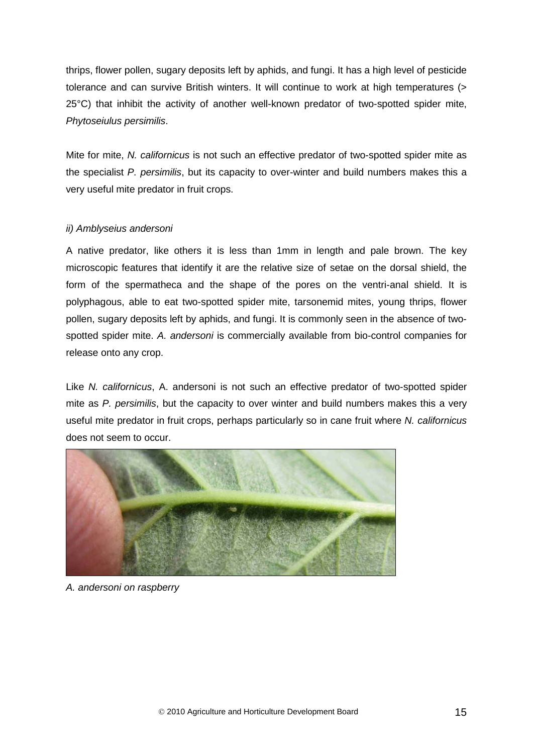thrips, flower pollen, sugary deposits left by aphids, and fungi. It has a high level of pesticide tolerance and can survive British winters. It will continue to work at high temperatures (> 25°C) that inhibit the activity of another well-known predator of two-spotted spider mite, *Phytoseiulus persimilis*.

Mite for mite, *N. californicus* is not such an effective predator of two-spotted spider mite as the specialist *P. persimilis*, but its capacity to over-winter and build numbers makes this a very useful mite predator in fruit crops.

#### *ii) Amblyseius andersoni*

A native predator, like others it is less than 1mm in length and pale brown. The key microscopic features that identify it are the relative size of setae on the dorsal shield, the form of the spermatheca and the shape of the pores on the ventri-anal shield. It is polyphagous, able to eat two-spotted spider mite, tarsonemid mites, young thrips, flower pollen, sugary deposits left by aphids, and fungi. It is commonly seen in the absence of twospotted spider mite. *A. andersoni* is commercially available from bio-control companies for release onto any crop.

Like *N. californicus*, A. andersoni is not such an effective predator of two-spotted spider mite as *P. persimilis*, but the capacity to over winter and build numbers makes this a very useful mite predator in fruit crops, perhaps particularly so in cane fruit where *N. californicus* does not seem to occur.



*A. andersoni on raspberry*